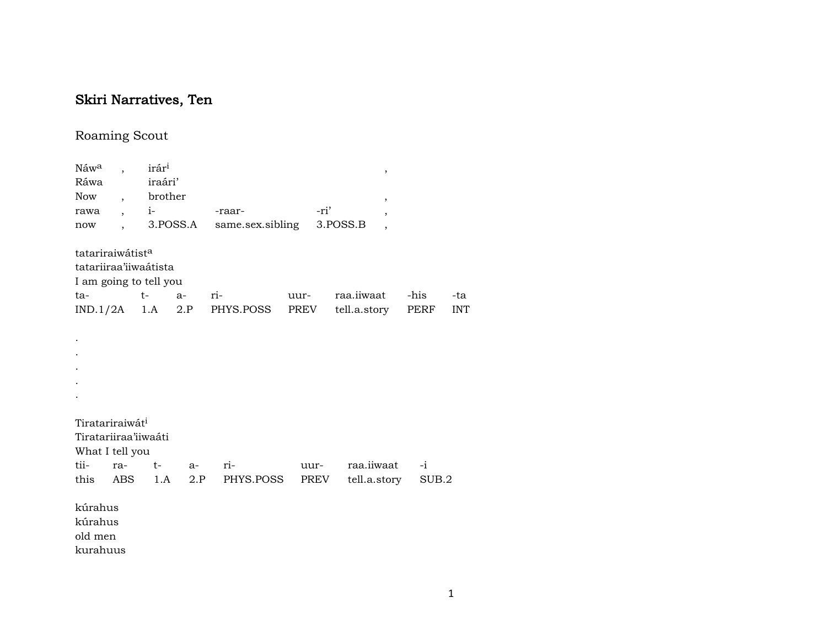## Skiri Narratives, Ten

## Roaming Scout

| Náw <sup>a</sup>             |                          | irár <sup>i</sup> |            |                              |      | $\,$              |       |            |
|------------------------------|--------------------------|-------------------|------------|------------------------------|------|-------------------|-------|------------|
| Ráwa                         |                          | iraári'           |            |                              |      |                   |       |            |
| Now                          | $\overline{ }$ ,         | brother           |            |                              |      | ,                 |       |            |
| rawa                         | $\overline{\phantom{a}}$ |                   |            | -raar-                       | -ri' | ,                 |       |            |
| now                          |                          |                   | 3.POSS.A   | same.sex.sibling             |      | 3.POSS.B          |       |            |
| tatariraiwátist <sup>a</sup> |                          |                   |            |                              |      |                   |       |            |
| tatariiraa'iiwaátista        |                          |                   |            |                              |      |                   |       |            |
| I am going to tell you       |                          |                   |            |                              |      |                   |       |            |
| ta-                          |                          | $t-$              | $a-$       | ri-                          | uur- | raa.iiwaat        | -his  | -ta        |
|                              |                          |                   |            | $IND.1/2A$ 1.A 2.P PHYS.POSS | PREV | tell.a.story PERF |       | <b>INT</b> |
|                              |                          |                   |            |                              |      |                   |       |            |
| $\ddot{\phantom{0}}$         |                          |                   |            |                              |      |                   |       |            |
|                              |                          |                   |            |                              |      |                   |       |            |
|                              |                          |                   |            |                              |      |                   |       |            |
|                              |                          |                   |            |                              |      |                   |       |            |
|                              |                          |                   |            |                              |      |                   |       |            |
|                              |                          |                   |            |                              |      |                   |       |            |
| Tiratariraiwát <sup>i</sup>  |                          |                   |            |                              |      |                   |       |            |
| Tiratariiraa'iiwaáti         |                          |                   |            |                              |      |                   |       |            |
| What I tell you              |                          |                   |            |                              |      |                   |       |            |
| tii-                         | ra-                      | $t-$              | $a-$       | ri-                          | uur- | raa.iiwaat        | $-i$  |            |
| this                         | ABS                      |                   | 1.A<br>2.P | PHYS.POSS                    | PREV | tell.a.story      | SUB.2 |            |
| kúrahus                      |                          |                   |            |                              |      |                   |       |            |
| kúrahus                      |                          |                   |            |                              |      |                   |       |            |
| old men                      |                          |                   |            |                              |      |                   |       |            |
| kurahuus                     |                          |                   |            |                              |      |                   |       |            |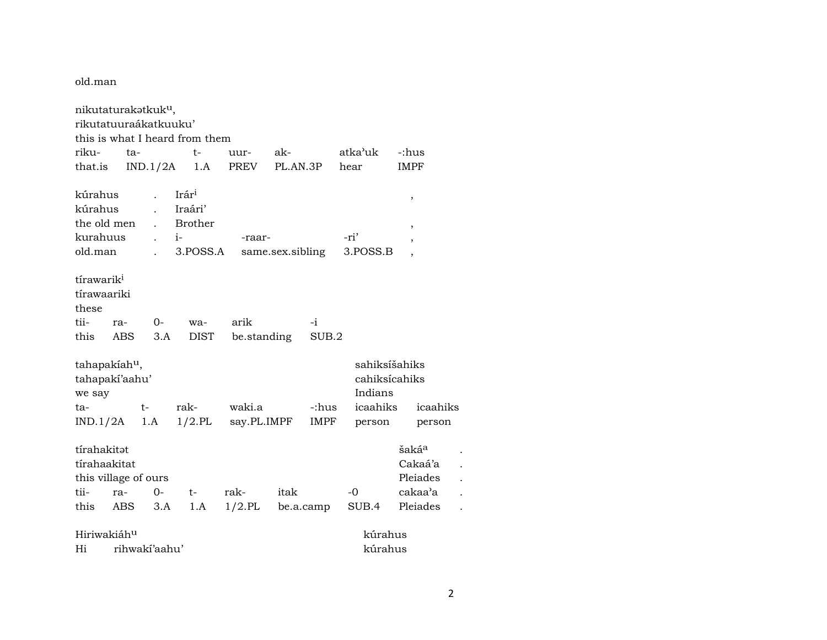old.man

nikutaturakatkuk<sup>u</sup>, rikutatuuraákatkuuku' this is what I heard from them riku- ta- t- uur- ak- atka"uk -:hus that.is IND.1/2A 1.A PREV PL.AN.3P hear IMPF kúrahus . Irár³ , kúrahus . Iraári' the old men . Brother , kurahuus . i- -raar- -ri' , old.man . 3.POSS.A same.sex.sibling 3.POSS.B , tírawarik<sup>i</sup> tírawaariki these tii- ra- 0- wa- arik -i this ABS 3.A DIST be.standing SUB.2 tahapakíah<sup>u</sup>, sahiksíšahiks tahapakí'aahu' cahiksícahiks we say Indians ta- t- rak- waki.a -:hus icaahiks icaahiks IND.1/2A 1.A 1/2.PL say.PL.IMPF IMPF person person tírahakitət istifahakitət sahidi sahidi sahidi sahidi sahidi sahidi sahidi sahidi sahidi sahidi sahidi sahidi s tírahaakitat Cakaá'a . this village of ours **Pleiades** . The property of  $\alpha$ tii- ra- 0- t- rak- itak -0 cakaa"a . this ABS 3.A 1.A 1/2.PL be.a.camp SUB.4 Pleiades . Hiriwakiáh<sup>u</sup> kúrahus Hi rihwakí'aahu' kúrahus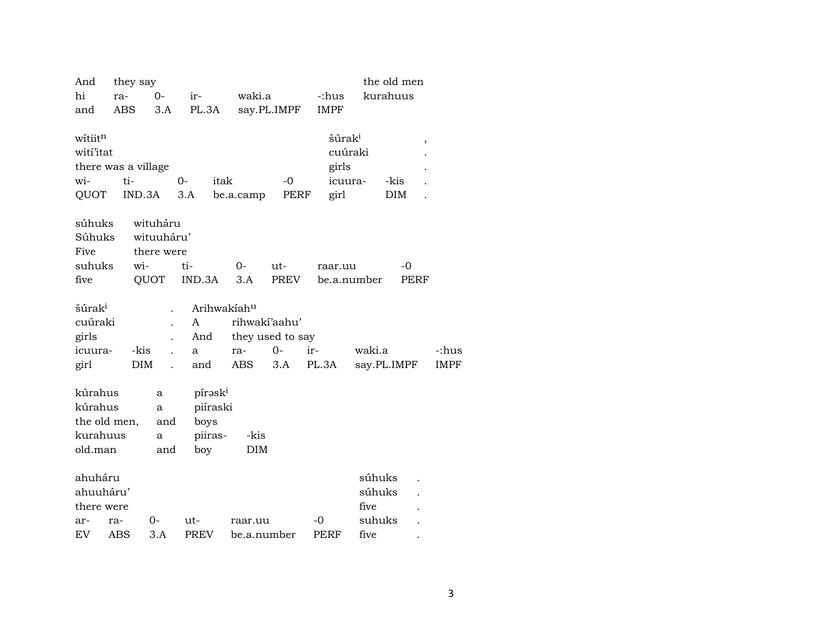| And                                       |            | they say    |                      |                     |             |                        |                  |     |                    |                                    | the old men |   |             |
|-------------------------------------------|------------|-------------|----------------------|---------------------|-------------|------------------------|------------------|-----|--------------------|------------------------------------|-------------|---|-------------|
| hi                                        | ra-        |             | $O -$                | ir-                 |             | waki.a                 |                  |     | -:hus              |                                    | kurahuus    |   |             |
| and                                       | <b>ABS</b> |             | 3.A                  | PL.3A               |             |                        | say.PL.IMPF      |     | <b>IMPF</b>        |                                    |             |   |             |
|                                           |            |             |                      |                     |             |                        |                  |     |                    |                                    |             |   |             |
| wítiit <sup>n</sup>                       |            |             |                      |                     |             |                        |                  |     | šúrak <sup>i</sup> |                                    |             | , |             |
| witi'itat                                 |            |             |                      |                     |             |                        |                  |     | cuúraki            |                                    |             |   |             |
| there was a village                       |            |             |                      |                     |             |                        |                  |     | girls              |                                    |             |   |             |
| wi-                                       | ti-        |             |                      | $0-$                | itak        |                        | $-0$             |     | icuura-            |                                    | -kis        |   |             |
| QUOT                                      |            | IND.3A      |                      | 3.A                 |             | be.a.camp              | PERF             |     | girl               |                                    | DIM         |   |             |
| súhuks                                    |            | wituháru    |                      |                     |             |                        |                  |     |                    |                                    |             |   |             |
| Súhuks                                    |            | wituuháru'  |                      |                     |             |                        |                  |     |                    |                                    |             |   |             |
| Five                                      |            | there were  |                      |                     |             |                        |                  |     |                    |                                    |             |   |             |
| suhuks                                    |            | wi-         |                      | ti-                 |             | $0-$                   | ut-              |     | raar.uu            |                                    | $-0$        |   |             |
| five                                      |            | <b>QUOT</b> |                      | IND.3A              |             | 3.A                    | <b>PREV</b>      |     | be.a.number        |                                    | <b>PERF</b> |   |             |
|                                           |            |             |                      |                     |             |                        |                  |     |                    |                                    |             |   |             |
| šúrak <sup>i</sup>                        |            |             |                      |                     | Arihwakiahu |                        |                  |     |                    |                                    |             |   |             |
| cuúraki                                   |            |             |                      | A                   |             |                        | rihwakí'aahu'    |     |                    |                                    |             |   |             |
| girls                                     |            |             |                      | And                 |             |                        | they used to say |     |                    |                                    |             |   |             |
| icuura-                                   |            | -kis        | $\overline{a}$       | a                   |             | ra-                    | $0-$             | ir- |                    | waki.a                             |             |   | -:hus       |
| girl                                      |            | <b>DIM</b>  | $\ddot{\phantom{a}}$ | and                 |             | <b>ABS</b>             | 3.A              |     | PL.3A              |                                    | say.PL.IMPF |   | <b>IMPF</b> |
|                                           |            |             |                      |                     |             |                        |                  |     |                    |                                    |             |   |             |
| kúrahus                                   |            |             | a                    | pírask <sup>i</sup> |             |                        |                  |     |                    |                                    |             |   |             |
| kúrahus                                   |            |             | a                    |                     | piíraski    |                        |                  |     |                    |                                    |             |   |             |
| the old men,                              |            |             | and                  | boys                |             |                        |                  |     |                    |                                    |             |   |             |
| kurahuus                                  |            |             | a                    | piiras-             |             | -kis                   |                  |     |                    |                                    |             |   |             |
| old.man                                   |            |             | and                  | boy                 |             | DIM                    |                  |     |                    |                                    |             |   |             |
|                                           |            |             |                      |                     |             |                        |                  |     |                    |                                    |             |   |             |
|                                           |            |             |                      |                     |             |                        |                  |     |                    |                                    |             |   |             |
|                                           |            |             |                      |                     |             |                        |                  |     |                    |                                    |             |   |             |
|                                           |            |             |                      |                     |             |                        |                  |     |                    |                                    |             |   |             |
| EV                                        |            |             |                      |                     |             |                        |                  |     |                    | five                               |             |   |             |
| ahuháru<br>ahuuháru'<br>there were<br>ar- | ra-<br>ABS | 0-          | 3.A                  | ut-<br><b>PREV</b>  |             | raar.uu<br>be.a.number |                  | -0  | PERF               | súhuks<br>súhuks<br>five<br>suhuks |             |   |             |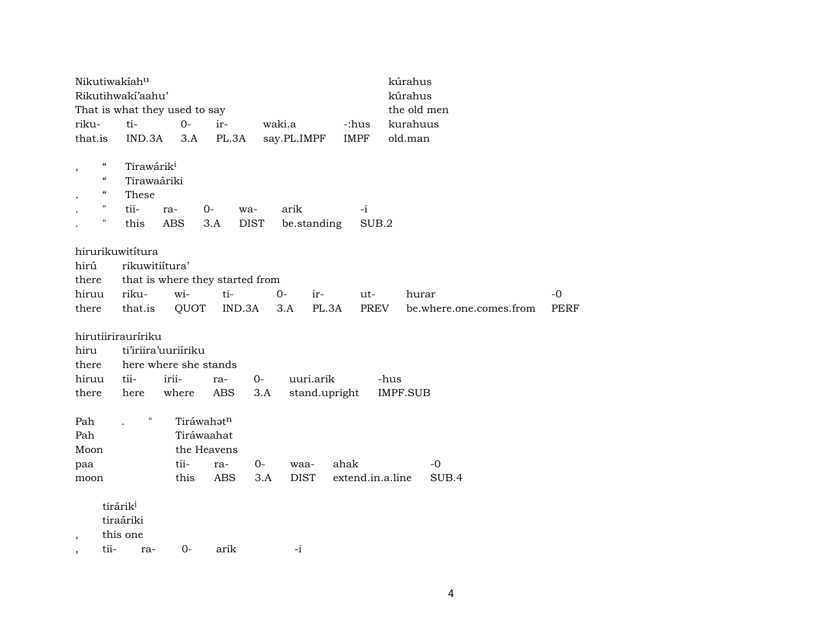|                |                            | Nikutiwakiahu          |                               |                                 |             |                    |       |               | kúrahus          |                         |                     |
|----------------|----------------------------|------------------------|-------------------------------|---------------------------------|-------------|--------------------|-------|---------------|------------------|-------------------------|---------------------|
|                |                            | Rikutihwakí'aahu'      |                               |                                 |             |                    |       |               | kúrahus          |                         |                     |
|                |                            |                        | That is what they used to say |                                 |             |                    |       |               | the old men      |                         |                     |
| riku-          |                            | ti-                    | $O -$                         | ir-                             |             | waki.a             |       | -:hus         | kurahuus         |                         |                     |
| that.is        |                            | IND.3A                 | 3.A                           | PL.3A                           |             | say.PL.IMPF        |       | <b>IMPF</b>   | old.man          |                         |                     |
|                |                            |                        |                               |                                 |             |                    |       |               |                  |                         |                     |
| $\, ,$         | $\epsilon\epsilon$         | Tirawárik <sup>i</sup> |                               |                                 |             |                    |       |               |                  |                         |                     |
|                | $\epsilon\epsilon$         | Tirawaáriki            |                               |                                 |             |                    |       |               |                  |                         |                     |
|                | $\boldsymbol{\mathcal{C}}$ | These                  |                               |                                 |             |                    |       |               |                  |                         |                     |
|                | 11                         | tii-                   | ra-                           | $0-$                            | wa-         | arik               |       | $-i$          |                  |                         |                     |
|                | $\pmb{\mathsf{H}}$         | this                   | <b>ABS</b>                    | 3.A                             | <b>DIST</b> | be.standing        |       | SUB.2         |                  |                         |                     |
|                |                            |                        |                               |                                 |             |                    |       |               |                  |                         |                     |
|                |                            | hirurikuwitítura       |                               |                                 |             |                    |       |               |                  |                         |                     |
| hirú           |                            | rikuwitiítura'         |                               |                                 |             |                    |       |               |                  |                         |                     |
| there          |                            |                        |                               | that is where they started from |             |                    |       |               |                  |                         |                     |
| hiruu<br>there |                            | riku-<br>that.is       | wi-<br>QUOT                   | ti-<br>IND.3A                   |             | $0-$<br>ir-<br>3.A | PL.3A | $ut-$<br>PREV | hurar            | be.where.one.comes.from | $-0$<br><b>PERF</b> |
|                |                            |                        |                               |                                 |             |                    |       |               |                  |                         |                     |
|                |                            | hirutiirirauríriku     |                               |                                 |             |                    |       |               |                  |                         |                     |
| hiru           |                            |                        | ti'iriira'uuriiriku           |                                 |             |                    |       |               |                  |                         |                     |
| there          |                            |                        | here where she stands         |                                 |             |                    |       |               |                  |                         |                     |
| hiruu          |                            | tii-                   | irii-                         | ra-                             | $0-$        | uuri.arik          |       |               | -hus             |                         |                     |
| there          |                            | here                   | where                         | ABS                             | 3.A         | stand.upright      |       |               | <b>IMPF.SUB</b>  |                         |                     |
|                |                            |                        |                               |                                 |             |                    |       |               |                  |                         |                     |
| Pah            |                            | $\pmb{\mathsf{H}}$     |                               | Tiráwahatn                      |             |                    |       |               |                  |                         |                     |
| Pah            |                            |                        |                               | Tiráwaahat                      |             |                    |       |               |                  |                         |                     |
| Moon           |                            |                        |                               | the Heavens                     |             |                    |       |               |                  |                         |                     |
| paa            |                            |                        | tii-                          | ra-                             | $0-$        | waa-               | ahak  |               |                  | $-0$                    |                     |
| moon           |                            |                        | this                          | ABS                             | 3.A         | <b>DIST</b>        |       |               | extend.in.a.line | SUB.4                   |                     |
|                |                            |                        |                               |                                 |             |                    |       |               |                  |                         |                     |
|                | tirárik <sup>i</sup>       |                        |                               |                                 |             |                    |       |               |                  |                         |                     |
|                |                            | tiraáriki              |                               |                                 |             |                    |       |               |                  |                         |                     |
| $\cdot$        |                            | this one               |                               |                                 |             |                    |       |               |                  |                         |                     |
|                | tii-                       | ra-                    | $0-$                          | arik                            |             | $-i$               |       |               |                  |                         |                     |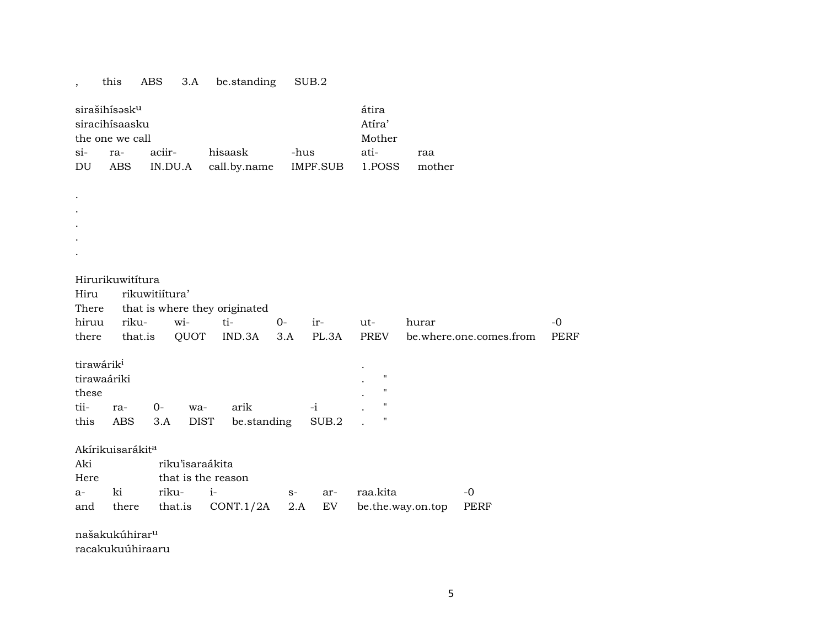## $s$ irašihís $\mathsf{ssk}^\mathsf{u}$  átira siracihísaasku Atíra' the one we call Mother si- ra- aciir- hisaask -hus ati- raa DU ABS IN.DU.A call.by.name IMPF.SUB 1.POSS mother . . . . . Hirurikuwitítura

, this ABS 3.A be.standing SUB.2

Hiru rikuwitiítura' There that is where they originated hiruu riku- wi- ti- 0- ir- ut- hurar -0 there that.is QUOT IND.3A 3.A PL.3A PREV be.where.one.comes.from PERF tirawárik<sup>i</sup> tirawaáriki . "  $\blacksquare$ tii- ra- 0- wa- arik -i . " this ABS 3.A DIST be.standing SUB.2 . " Akírikuisarákit<sup>a</sup> Aki riku'isaraákita Here that is the reason a- ki riku- i- s- ar- raa.kita -0 and there that.is CONT.1/2A 2.A EV be.the.way.on.top PERF

našakukúhirar<sup>u</sup>

racakukuúhiraaru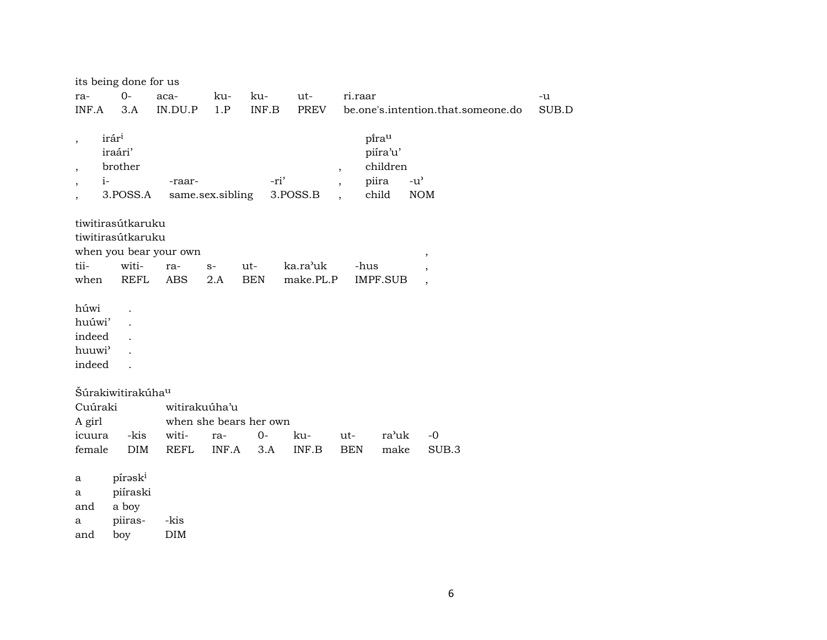|                                                                        | its being done for us                               |                        |                  |                        |             |                                                      |                                                 |                                    |             |
|------------------------------------------------------------------------|-----------------------------------------------------|------------------------|------------------|------------------------|-------------|------------------------------------------------------|-------------------------------------------------|------------------------------------|-------------|
| ra-                                                                    | $0-$                                                | aca-                   | ku-              | ku-                    | ut-         | ri.raar                                              |                                                 |                                    | -u          |
| INF.A                                                                  | 3.A                                                 | IN.DU.P                | 1.P              | INF.B                  | <b>PREV</b> |                                                      |                                                 | be.one's.intention.that.someone.do | $\rm SUB.D$ |
| $\, ,$<br>$\overline{\phantom{a}}$<br>$i-$<br>$\overline{\phantom{a}}$ | irár <sup>i</sup><br>iraári'<br>brother<br>3.POSS.A | -raar-                 | same.sex.sibling | -ri'                   | 3.POSS.B    | $\overline{\phantom{a}}$<br>$\overline{\phantom{a}}$ | pirau<br>piíra'u'<br>children<br>piira<br>child | $-u^{\prime}$<br><b>NOM</b>        |             |
|                                                                        | tiwitirasútkaruku                                   |                        |                  |                        |             |                                                      |                                                 |                                    |             |
|                                                                        | tiwitirasútkaruku                                   |                        |                  |                        |             |                                                      |                                                 |                                    |             |
|                                                                        |                                                     | when you bear your own |                  |                        |             |                                                      |                                                 | $\, ,$                             |             |
| tii-                                                                   | witi-                                               | ra-                    | $S-$             | ut-                    | ka.ra'uk    | -hus                                                 |                                                 | $\overline{\phantom{a}}$           |             |
| when                                                                   | <b>REFL</b>                                         | <b>ABS</b>             | 2.A              | <b>BEN</b>             | make.PL.P   |                                                      | <b>IMPF.SUB</b>                                 | $\cdot$                            |             |
| húwi<br>huúwi'<br>indeed<br>huuwi <sup>3</sup><br>indeed               |                                                     |                        |                  |                        |             |                                                      |                                                 |                                    |             |
|                                                                        | Šúrakiwitirakúha <sup>u</sup>                       |                        |                  |                        |             |                                                      |                                                 |                                    |             |
| Cuúraki                                                                |                                                     | witirakuúha'u          |                  |                        |             |                                                      |                                                 |                                    |             |
| A girl                                                                 |                                                     |                        |                  | when she bears her own |             |                                                      |                                                 |                                    |             |
| icuura                                                                 | -kis                                                | witi-                  | ra-              | $O -$                  | ku-         | ut-                                                  | ra'uk                                           | $-0$                               |             |
| female                                                                 | DIM                                                 | <b>REFL</b>            | INF.A            | 3.A                    | INF.B       | <b>BEN</b>                                           | make                                            | SUB.3                              |             |
| a<br>a<br>and<br>a                                                     | píraski<br>piíraski<br>a boy<br>piiras-             | -kis                   |                  |                        |             |                                                      |                                                 |                                    |             |
| and                                                                    | boy                                                 | DIM                    |                  |                        |             |                                                      |                                                 |                                    |             |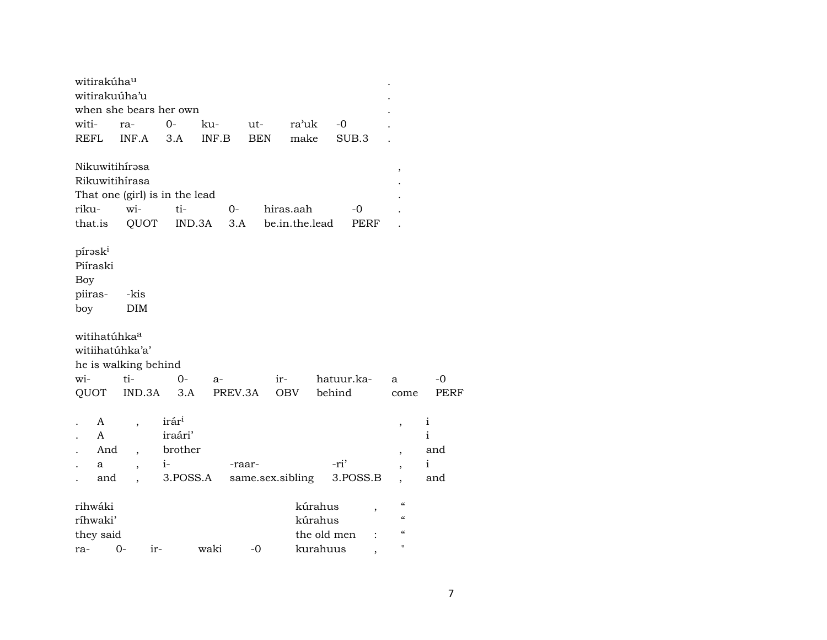|                            | witirakúha <sup>u</sup>  |                                         |                                |        |            |                  |             |                |                          |              |
|----------------------------|--------------------------|-----------------------------------------|--------------------------------|--------|------------|------------------|-------------|----------------|--------------------------|--------------|
|                            |                          | witirakuúha'u                           |                                |        |            |                  |             |                |                          |              |
|                            |                          |                                         | when she bears her own         |        |            |                  |             |                |                          |              |
| witi-                      |                          | ra-                                     | $0 -$                          | ku-    | ut-        | ra'uk            | -0          |                |                          |              |
| REFL                       |                          | INF.A                                   | 3.A                            | INF.B  | <b>BEN</b> | make             |             | SUB.3          |                          |              |
|                            |                          | Nikuwitihírasa                          |                                |        |            |                  |             |                | ,                        |              |
|                            |                          | Rikuwitihírasa                          |                                |        |            |                  |             |                |                          |              |
|                            |                          |                                         | That one (girl) is in the lead |        |            |                  |             |                |                          |              |
| riku-                      |                          | wi-                                     | ti-                            |        | $0-$       | hiras.aah        |             | -0             |                          |              |
| that.is                    |                          | QUOT                                    |                                | IND.3A | 3.A        | be.in.the.lead   |             | PERF           |                          |              |
| píraski<br>Piíraski<br>Boy |                          |                                         |                                |        |            |                  |             |                |                          |              |
| piiras-                    |                          | -kis                                    |                                |        |            |                  |             |                |                          |              |
| boy                        |                          | <b>DIM</b>                              |                                |        |            |                  |             |                |                          |              |
|                            | witihatúhka <sup>a</sup> | witiihatúhka'a'<br>he is walking behind |                                |        |            |                  |             |                |                          |              |
| wi-                        |                          | ti-                                     | $0-$                           | a-     |            | ir-              | hatuur.ka-  |                | a                        | $-0$         |
| QUOT                       |                          | IND.3A                                  | 3.A                            |        | PREV.3A    | OBV              | behind      |                | come                     | <b>PERF</b>  |
|                            | A                        | $\overline{\phantom{a}}$                | irár <sup>i</sup>              |        |            |                  |             |                | $\, ,$                   | $\mathbf{i}$ |
|                            | A                        |                                         | iraári'                        |        |            |                  |             |                |                          | $\mathbf{i}$ |
|                            | And                      |                                         | brother                        |        |            |                  |             |                | $\overline{\phantom{a}}$ | and          |
|                            | a                        | ,                                       | $i-$                           |        | -raar-     |                  | -ri'        |                |                          | $\mathbf i$  |
|                            | and                      |                                         | 3.POSS.A                       |        |            | same.sex.sibling |             | 3.POSS.B       |                          | and          |
| rihwáki                    |                          |                                         |                                |        |            |                  | kúrahus     | ,              | $\epsilon\epsilon$       |              |
| ríhwaki'                   |                          |                                         |                                |        |            |                  | kúrahus     |                | $\epsilon$               |              |
|                            | they said                |                                         |                                |        |            |                  | the old men | $\ddot{\cdot}$ | $\epsilon$               |              |
| ra-                        |                          | 0-                                      | ir-                            | waki   | $-0$       |                  | kurahuus    | $\overline{ }$ | $\mathbf H$              |              |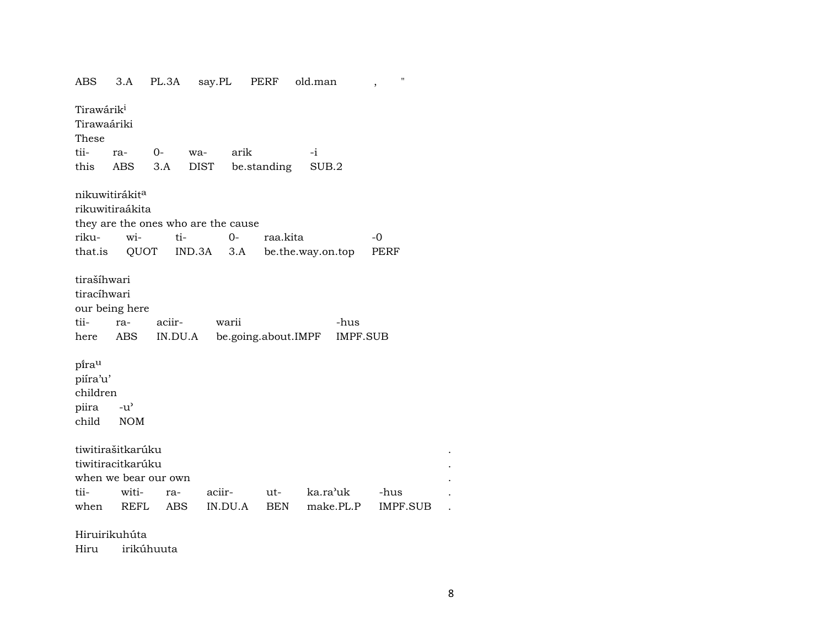ABS 3.A PL.3A say.PL PERF old.man , " Tirawárik<sup>i</sup> Tirawaáriki These tii- ra- 0- wa- arik -i this ABS 3.A DIST be.standing SUB.2 nikuwitirákit<sup>a</sup> rikuwitiraákita they are the ones who are the cause riku- wi- ti- 0- raa.kita -0 that.is QUOT IND.3A 3.A be.the.way.on.top PERF tirašíhwari tiracíhwari our being here tii- ra- aciir- warii -hus here ABS IN.DU.A be.going.about.IMPF IMPF.SUB pi<sup>rau</sup> piíra'u' children piira -u" child NOM tiwitirašitkarúku . tiwitiracitkarúku . when we bear our own . tii- witi- ra- aciir- ut- ka.ra"uk -hus . when REFL ABS IN.DU.A BEN make.PL.P IMPF.SUB .

Hiruirikuhúta

Hiru irikúhuuta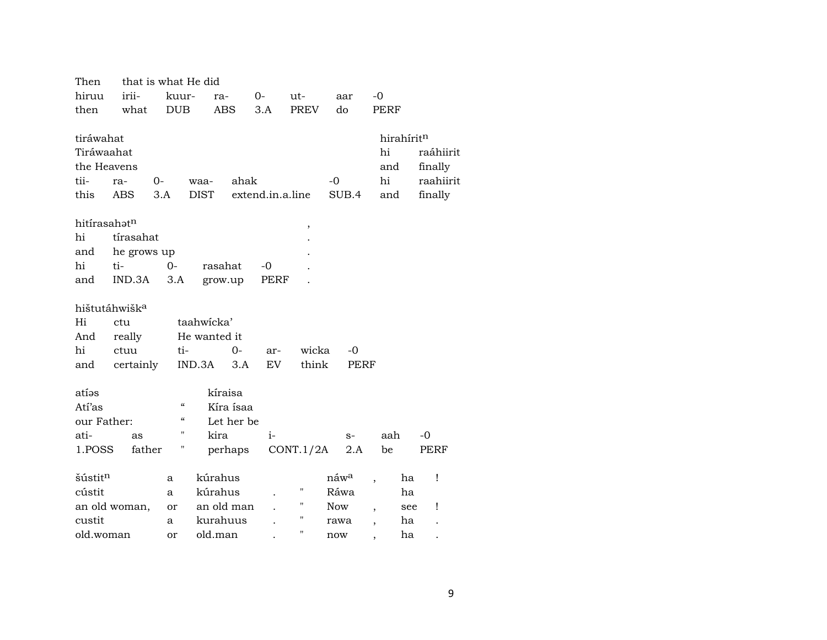| Then                     | that is what He did       |                                        |               |                  |                    |                  |                                |           |
|--------------------------|---------------------------|----------------------------------------|---------------|------------------|--------------------|------------------|--------------------------------|-----------|
| hiruu                    | irii-                     | kuur-                                  | ra-           | $0-$             | ut-                | aar              | $-0$                           |           |
| then                     | what                      | <b>DUB</b>                             | <b>ABS</b>    | 3.A              | <b>PREV</b>        | do               | PERF                           |           |
|                          |                           |                                        |               |                  |                    |                  |                                |           |
| tiráwahat                |                           |                                        |               |                  |                    |                  | hirahírit <sup>n</sup>         |           |
| Tiráwaahat               |                           |                                        |               |                  |                    |                  | hi                             | raáhiirit |
| the Heavens              |                           |                                        |               |                  |                    |                  | and                            | finally   |
| tii-                     | $0-$<br>ra-               |                                        | ahak<br>waa-  |                  |                    | $-0$             | hi                             | raahiirit |
| this                     | ABS                       | 3.A                                    | <b>DIST</b>   | extend.in.a.line |                    | SUB.4            | and                            | finally   |
|                          |                           |                                        |               |                  |                    |                  |                                |           |
| hitírasahət <sup>n</sup> |                           |                                        |               |                  | ,                  |                  |                                |           |
| hi                       | tírasahat                 |                                        |               |                  |                    |                  |                                |           |
| and                      | he grows up               |                                        |               |                  |                    |                  |                                |           |
| hi                       | ti-                       | $0 -$                                  | rasahat       | $-0$             |                    |                  |                                |           |
| and                      | IND.3A                    | 3.A                                    | grow.up       | PERF             |                    |                  |                                |           |
|                          |                           |                                        |               |                  |                    |                  |                                |           |
|                          | hištutáhwišk <sup>a</sup> |                                        |               |                  |                    |                  |                                |           |
| Hi                       | ctu                       |                                        | taahwicka'    |                  |                    |                  |                                |           |
| And                      | really                    |                                        | He wanted it  |                  |                    |                  |                                |           |
| hi                       | ctuu                      | ti-                                    | $0-$          | ar-              | wicka              | -0               |                                |           |
| and                      | certainly                 |                                        | IND.3A<br>3.A | EV               | think              | PERF             |                                |           |
|                          |                           |                                        |               |                  |                    |                  |                                |           |
| atíəs                    |                           |                                        | kíraisa       |                  |                    |                  |                                |           |
| Atí'as                   |                           | $\epsilon\epsilon$                     | Kíra ísaa     |                  |                    |                  |                                |           |
| our Father:              |                           | $\boldsymbol{\zeta}\boldsymbol{\zeta}$ | Let her be    |                  |                    |                  |                                |           |
| ati-                     | as                        | "                                      | kira          | $i-$             |                    | $S-$             | aah                            | $-0$      |
| 1.POSS                   | father                    | Η                                      | perhaps       |                  | CONT.1/2A          | 2.A              | be                             | PERF      |
|                          |                           |                                        |               |                  |                    |                  |                                |           |
| šústit <sup>n</sup>      |                           | a                                      | kúrahus       |                  |                    | náw <sup>a</sup> | ha                             | Ţ         |
| cústit                   |                           | a                                      | kúrahus       |                  | 11                 | Ráwa             | ha                             |           |
|                          | an old woman,             | or                                     | an old man    |                  | $\pmb{\mathsf{H}}$ | <b>Now</b>       | see                            | Ţ         |
| custit                   |                           | a                                      | kurahuus      |                  | $\pmb{\mathsf{H}}$ | rawa             | ha<br>$\overline{\phantom{a}}$ |           |
| old.woman                |                           | or                                     | old.man       |                  | $\pmb{\mathsf{H}}$ | now              | ha                             |           |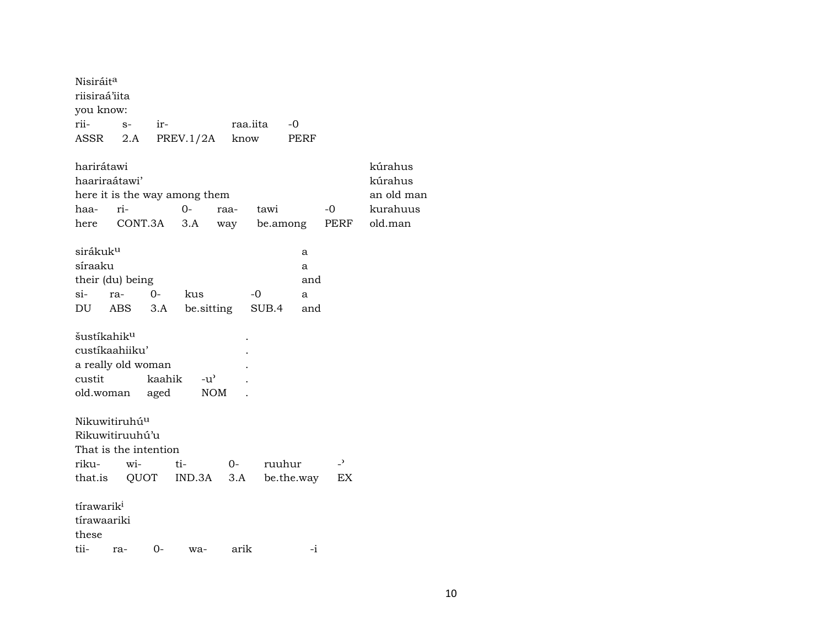| Nisiráit <sup>a</sup><br>riisiraá'iita                    |      |                                                |                               |             |          |                      |                                |            |
|-----------------------------------------------------------|------|------------------------------------------------|-------------------------------|-------------|----------|----------------------|--------------------------------|------------|
| you know:                                                 |      |                                                |                               |             |          |                      |                                |            |
| rii-                                                      | $S-$ | ir-                                            |                               |             | raa.iita | $-0$                 |                                |            |
| ASSR                                                      | 2.A  |                                                | PREV.1/2A                     | know        |          | PERF                 |                                |            |
| harirátawi                                                |      |                                                |                               |             |          |                      |                                | kúrahus    |
| haariraátawi'                                             |      |                                                |                               |             |          |                      |                                | kúrahus    |
|                                                           |      |                                                | here it is the way among them |             |          |                      |                                | an old man |
| haa-                                                      | ri-  |                                                | $0-$                          | raa-        | tawi     |                      | $-0$                           | kurahuus   |
|                                                           |      | here CONT.3A                                   | 3.A                           | way         |          | be.among             | PERF                           | old.man    |
| sirákuk <sup>u</sup>                                      |      |                                                |                               |             |          | a                    |                                |            |
| síraaku                                                   |      |                                                |                               |             |          | a                    |                                |            |
| their (du) being                                          |      |                                                |                               |             |          | and                  |                                |            |
| si-                                                       | ra-  | $0-$                                           | kus                           |             | -0       | a                    |                                |            |
| DU ABS                                                    |      |                                                | 3.A be.sitting SUB.4          |             |          | and                  |                                |            |
| šustíkahik <sup>u</sup><br>custíkaahiiku'<br>custit       |      | a really old woman<br>kaahik<br>old.woman aged | $-u^{\prime}$<br>NOM          |             |          |                      |                                |            |
| Nikuwitiruhú <sup>u</sup><br>Rikuwitiruuhú'u<br>riku- wi- |      | That is the intention                          | ti-<br>that.is QUOT IND.3A    | $O-$<br>3.A |          | ruuhur<br>be.the.way | $\overline{\phantom{a}}$<br>EX |            |
| tírawarik <sup>i</sup><br>tírawaariki<br>these            |      |                                                |                               |             |          |                      |                                |            |
| tii-                                                      | ra-  | 0-                                             | wa-                           | arik        |          | -i                   |                                |            |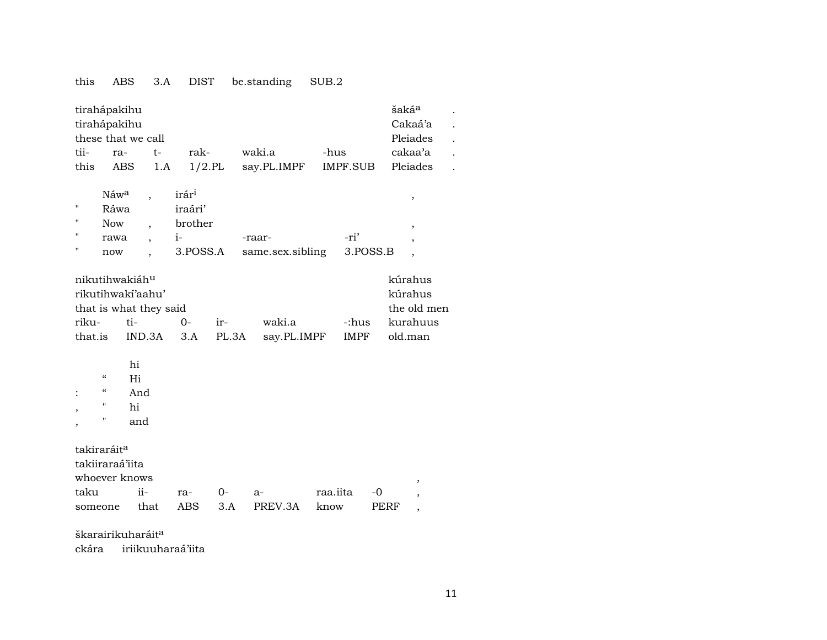## this ABS 3.A DIST be.standing SUB.2

| tirahápakihu<br>tirahápakihu<br>tii-<br>this | ra-<br><b>ABS</b>                       | these that we call                                            | $t-$<br>1.A | rak-              | $1/2$ .PL | waki.a<br>say.PL.IMPF | -hus<br>IMPF.SUB |      | šakáª              | Cakaá'a<br>Pleiades<br>cakaa'a<br>Pleiades |  |
|----------------------------------------------|-----------------------------------------|---------------------------------------------------------------|-------------|-------------------|-----------|-----------------------|------------------|------|--------------------|--------------------------------------------|--|
|                                              |                                         |                                                               |             |                   |           |                       |                  |      |                    |                                            |  |
|                                              | Náwa                                    | $\overline{\phantom{a}}$                                      |             | irár <sup>i</sup> |           |                       |                  |      |                    | $\, ,$                                     |  |
| $\pmb{\mathsf{H}}$                           | Ráwa                                    |                                                               |             | iraári'           |           |                       |                  |      |                    |                                            |  |
| $\pmb{\mathsf{H}}$                           | <b>Now</b>                              | ,                                                             |             | brother           |           |                       |                  |      |                    | ,                                          |  |
| 11                                           | rawa                                    | $\overline{\phantom{a}}$                                      |             | $i-$              |           | -raar-                | -ri'             |      |                    | ,                                          |  |
| "                                            | now                                     | $\overline{\phantom{a}}$                                      |             | 3.POSS.A          |           | same.sex.sibling      | 3.POSS.B         |      |                    |                                            |  |
|                                              |                                         | nikutihwakiáhu<br>rikutihwakí'aahu'<br>that is what they said |             |                   |           |                       |                  |      | kúrahus<br>kúrahus | the old men                                |  |
| riku-                                        |                                         | ti-                                                           |             | $O -$             | ir-       | waki.a                | -:hus            |      |                    | kurahuus                                   |  |
| that.is                                      |                                         | IND.3A                                                        |             | 3.A               | PL.3A     | say.PL.IMPF           | <b>IMPF</b>      |      | old.man            |                                            |  |
| $\overline{\phantom{a}}$                     | $\pmb{\zeta}\pmb{\zeta}$<br>4<br>"<br>" | hi<br>Hi<br>And<br>hi<br>and                                  |             |                   |           |                       |                  |      |                    |                                            |  |
| takiraráit <sup>a</sup>                      |                                         |                                                               |             |                   |           |                       |                  |      |                    |                                            |  |
| takiiraraá'iita                              |                                         |                                                               |             |                   |           |                       |                  |      |                    |                                            |  |
|                                              |                                         | whoever knows                                                 |             |                   |           |                       |                  |      |                    | ,                                          |  |
| taku                                         |                                         | $ii -$                                                        |             | ra-               | 0-        | $a-$                  | raa.iita         | -0   |                    | ,                                          |  |
| someone                                      |                                         | that                                                          |             | <b>ABS</b>        | 3.A       | PREV.3A               | know             | PERF |                    | $\overline{\phantom{a}}$                   |  |
|                                              |                                         |                                                               |             |                   |           |                       |                  |      |                    |                                            |  |

škarairikuharáit<sup>a</sup>

ckára iriikuuharaá'iita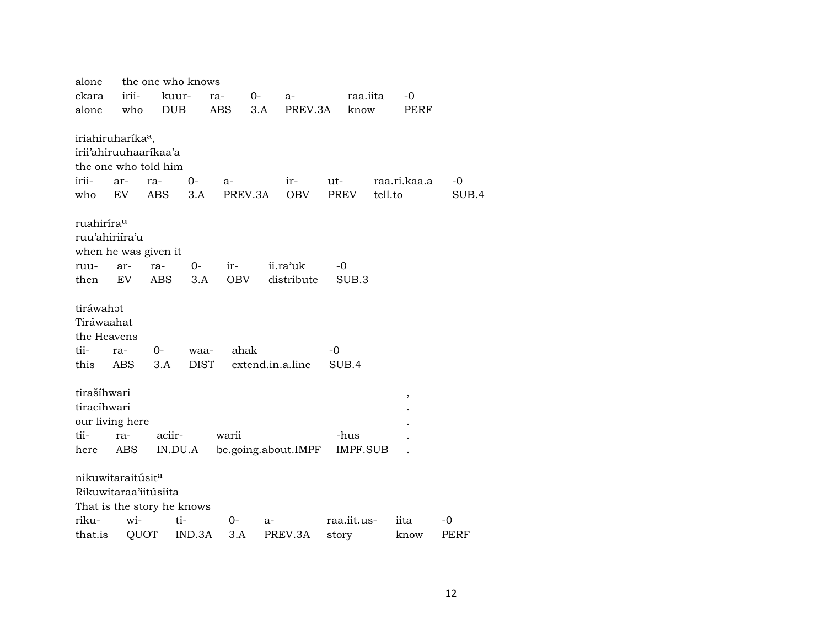| alone                         |       |                            | the one who knows |            |                  |                     |       |                 |         |              |       |
|-------------------------------|-------|----------------------------|-------------------|------------|------------------|---------------------|-------|-----------------|---------|--------------|-------|
| ckara                         | irii- | kuur-                      | ra-               |            | $0-$             | a-                  |       | raa.iita        |         | $-0$         |       |
| alone                         | who   | <b>DUB</b>                 | ABS               |            | 3.A              | PREV.3A             |       | know            |         | PERF         |       |
|                               |       |                            |                   |            |                  |                     |       |                 |         |              |       |
| iriahiruharíka <sup>a</sup> , |       |                            |                   |            |                  |                     |       |                 |         |              |       |
|                               |       | irii'ahiruuhaarikaa'a      |                   |            |                  |                     |       |                 |         |              |       |
|                               |       | the one who told him       |                   |            |                  |                     |       |                 |         |              |       |
| irii-                         | ar-   | ra-                        | 0-                | $a-$       |                  | ir-                 | ut-   |                 |         | raa.ri.kaa.a | -0    |
| who                           | EV    | ABS                        | 3.A               | PREV.3A    |                  | <b>OBV</b>          | PREV  |                 | tell.to |              | SUB.4 |
| ruahirírau                    |       |                            |                   |            |                  |                     |       |                 |         |              |       |
| ruu'ahiriíra'u                |       |                            |                   |            |                  |                     |       |                 |         |              |       |
|                               |       | when he was given it       |                   |            |                  |                     |       |                 |         |              |       |
| ruu-                          | ar-   | ra-                        | $O-$              | ir-        |                  | ii.ra'uk            | -0    |                 |         |              |       |
| then                          | EV    | <b>ABS</b>                 | 3.A               | <b>OBV</b> |                  | distribute          |       | SUB.3           |         |              |       |
|                               |       |                            |                   |            |                  |                     |       |                 |         |              |       |
| tiráwahat                     |       |                            |                   |            |                  |                     |       |                 |         |              |       |
| Tiráwaahat                    |       |                            |                   |            |                  |                     |       |                 |         |              |       |
| the Heavens                   |       |                            |                   |            |                  |                     |       |                 |         |              |       |
| tii-                          | ra-   | $O -$                      | waa-              | ahak       |                  |                     | -0    |                 |         |              |       |
| this                          | ABS   | 3.A                        | <b>DIST</b>       |            | extend.in.a.line |                     |       | SUB.4           |         |              |       |
|                               |       |                            |                   |            |                  |                     |       |                 |         |              |       |
| tirašíhwari                   |       |                            |                   |            |                  |                     |       |                 |         | $\, ,$       |       |
| tiracíhwari                   |       |                            |                   |            |                  |                     |       |                 |         |              |       |
| our living here               |       |                            |                   |            |                  |                     |       |                 |         |              |       |
| tii-                          | ra-   | aciir-                     |                   | warii      |                  |                     |       | -hus            |         |              |       |
| here                          | ABS   | IN.DU.A                    |                   |            |                  | be.going.about.IMPF |       | <b>IMPF.SUB</b> |         |              |       |
|                               |       |                            |                   |            |                  |                     |       |                 |         |              |       |
| nikuwitaraitúsit <sup>a</sup> |       |                            |                   |            |                  |                     |       |                 |         |              |       |
| Rikuwitaraa'iitúsiita         |       |                            |                   |            |                  |                     |       |                 |         |              |       |
|                               |       | That is the story he knows |                   |            |                  |                     |       |                 |         |              |       |
| riku-                         | wi-   | ti-                        |                   | 0-         | $a-$             |                     |       | raa.iit.us-     |         | iita         | -0    |
| that.is                       | QUOT  |                            | IND.3A            | 3.A        |                  | PREV.3A             | story |                 |         | know         | PERF  |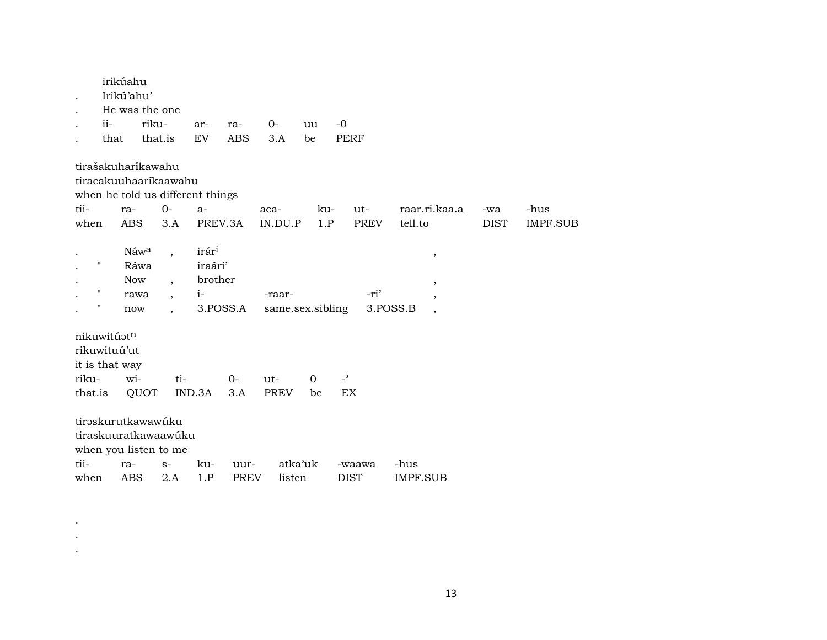| $ii-$                                                             | irikúahu<br>Irikú'ahu'<br>that                 | He was the one<br>riku-<br>that.is                                                                       | ar-<br>EV                                       | ra-<br><b>ABS</b>   | 0-<br>3.A                  | uu<br>be       | $-0$<br><b>PERF</b>   |                                                                 |                    |                         |
|-------------------------------------------------------------------|------------------------------------------------|----------------------------------------------------------------------------------------------------------|-------------------------------------------------|---------------------|----------------------------|----------------|-----------------------|-----------------------------------------------------------------|--------------------|-------------------------|
| tii-<br>when                                                      | ra-<br><b>ABS</b>                              | tirašakuharikawahu<br>tiracakuuhaaríkaawahu<br>when he told us different things<br>$O -$<br>3.A          | $a-$<br>PREV.3A                                 |                     | aca-<br>IN.DU.P            | ku-<br>1.P     | ut-<br><b>PREV</b>    | raar.ri.kaa.a<br>tell.to                                        | -wa<br><b>DIST</b> | -hus<br><b>IMPF.SUB</b> |
| Η<br>$\pmb{\mathsf{H}}$<br>11                                     | Náw <sup>a</sup><br>Ráwa<br>Now<br>rawa<br>now | $\overline{\phantom{a}}$<br>$\overline{\phantom{a}}$<br>$\overline{\phantom{a}}$<br>$\ddot{\phantom{0}}$ | irár <sup>i</sup><br>iraári'<br>brother<br>$i-$ | 3.POSS.A            | -raar-<br>same.sex.sibling |                | -ri'                  | $\,$<br>$\overline{\phantom{a}}$<br>$\,$<br>3.POSS.B<br>$\cdot$ |                    |                         |
| nikuwitúatn<br>rikuwituú'ut<br>it is that way<br>riku-<br>that.is | wi-                                            | ti-<br>QUOT                                                                                              | IND.3A                                          | $0-$<br>3.A         | ut-<br><b>PREV</b>         | $\Omega$<br>be | $\overline{a}$<br>EX  |                                                                 |                    |                         |
| tii-<br>when                                                      | ra-<br><b>ABS</b>                              | tirəskurutkawawúku<br>tiraskuuratkawaawúku<br>when you listen to me<br>$S-$<br>2.A                       | ku-<br>1.P                                      | uur-<br><b>PREV</b> | atka'uk<br>listen          |                | -waawa<br><b>DIST</b> | -hus<br><b>IMPF.SUB</b>                                         |                    |                         |

. . .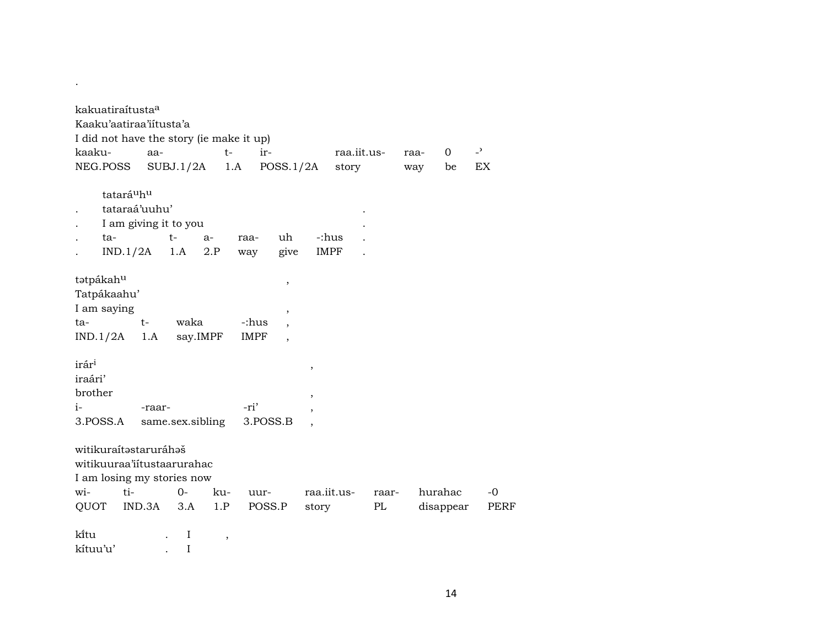| kakuatiraítusta <sup>a</sup><br>Kaaku'aatiraa'iitusta'a<br>I did not have the story (ie make it up)<br>kaaku-<br>NEG.POSS | aa-<br>SUBJ.1/2A                                | $t-$<br>1.A         | $ir-$<br>POSS.1/2A                                                          |        | raa.iit.us-<br>story |             | $\Omega$<br>raa-<br>way<br>be | $\overline{a}$<br>EX |                     |
|---------------------------------------------------------------------------------------------------------------------------|-------------------------------------------------|---------------------|-----------------------------------------------------------------------------|--------|----------------------|-------------|-------------------------------|----------------------|---------------------|
| tatará <sup>u</sup> h <sup>u</sup><br>tataraá'uuhu'<br>ta-                                                                | I am giving it to you<br>$t-$<br>$IND.1/2A$ 1.A | $a-$<br>raa-<br>2.P | uh<br>give<br>way                                                           |        | -:hus<br>IMPF        |             |                               |                      |                     |
| tatpákahu<br>Tatpákaahu'<br>I am saying<br>ta-<br>IND.1/2A                                                                | $t-$<br>waka<br>1.A say.IMPF                    |                     | $^\mathrm{,}$<br>$\, ,$<br>-:hus<br><b>IMPF</b><br>$\overline{\phantom{a}}$ |        |                      |             |                               |                      |                     |
| irár <sup>i</sup><br>iraári'<br>brother<br>i-<br>3.POSS.A                                                                 | -raar-<br>same.sex.sibling                      |                     | -ri'<br>3.POSS.B                                                            | ,<br>, |                      |             |                               |                      |                     |
| witikuraítastaruráhaš<br>witikuuraa'iitustaarurahac<br>I am losing my stories now<br>$t_{1}$ -<br>wi-<br>QUOT             | $O-$<br>IND.3A<br>3.A                           | ku-<br>1.P          | uur-<br>POSS.P                                                              | story  | raa.iit.us-          | raar-<br>PL | hurahac<br>disappear          |                      | $-0$<br><b>PERF</b> |
| ki̇̃tu                                                                                                                    | $\bf{I}$                                        | $\, ,$              |                                                                             |        |                      |             |                               |                      |                     |

kítuu'u' . I

.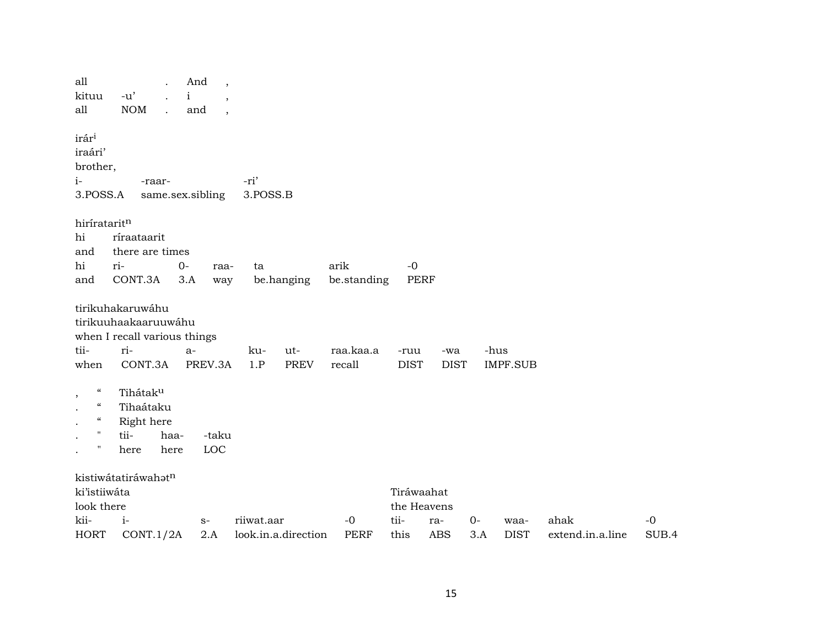| all<br>kituu<br>all                                                                                                             | $-u'$<br>$\rm{NOM}$<br>$\ddot{\phantom{a}}$                                                | And<br>$\overline{\phantom{a}}$<br>$\mathbf{i}$<br>$\overline{\phantom{a}}$<br>and<br>$\ddot{\phantom{0}}$ |                                   |                     |                           |                    |             |                         |                          |               |
|---------------------------------------------------------------------------------------------------------------------------------|--------------------------------------------------------------------------------------------|------------------------------------------------------------------------------------------------------------|-----------------------------------|---------------------|---------------------------|--------------------|-------------|-------------------------|--------------------------|---------------|
| irár <sup>i</sup><br>iraári'<br>brother,<br>$i-$<br>3.POSS.A                                                                    | -raar-                                                                                     | same.sex.sibling                                                                                           | -ri'<br>3.POSS.B                  |                     |                           |                    |             |                         |                          |               |
| hirírataritn<br>hi<br>and<br>hi<br>and                                                                                          | ríraataarit<br>there are times<br>ri-<br>CONT.3A                                           | $O -$<br>raa-<br>3.A<br>way                                                                                | ta<br>be.hanging                  | arik<br>be.standing | $-0$<br>PERF              |                    |             |                         |                          |               |
| tii-<br>when                                                                                                                    | tirikuhakaruwáhu<br>tirikuuhaakaaruuwáhu<br>when I recall various things<br>ri-<br>CONT.3A | $a-$<br>PREV.3A                                                                                            | ku-<br>ut-<br>1.P<br><b>PREV</b>  | raa.kaa.a<br>recall | -ruu<br><b>DIST</b>       | -wa<br><b>DIST</b> |             | -hus<br><b>IMPF.SUB</b> |                          |               |
| $\boldsymbol{\mathcal{C}}$<br>$\cdot$<br>$\boldsymbol{\mathcal{C}}$<br>$\epsilon\epsilon$<br>$\mathbf{H}$<br>$\pmb{\mathsf{H}}$ | Tihátaku<br>Tihaátaku<br>Right here<br>tii-<br>haa-<br>here<br>here                        | -taku<br>LOC                                                                                               |                                   |                     |                           |                    |             |                         |                          |               |
| ki'istiiwáta<br>look there                                                                                                      | kistiwátatiráwahatn                                                                        |                                                                                                            |                                   |                     | Tiráwaahat<br>the Heavens |                    |             |                         |                          |               |
| kii-<br><b>HORT</b>                                                                                                             | $i-$<br>CONT.1/2A                                                                          | $S-$<br>2.A                                                                                                | riiwat.aar<br>look.in.a.direction | $-0$<br><b>PERF</b> | tii-<br>this              | ra-<br><b>ABS</b>  | $0-$<br>3.A | waa-<br><b>DIST</b>     | ahak<br>extend.in.a.line | $-0$<br>SUB.4 |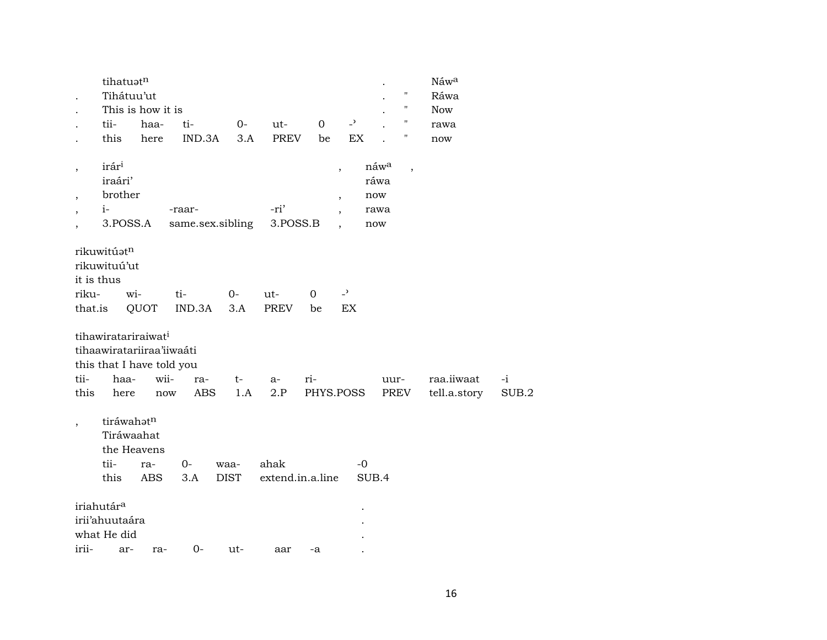|                                | tihatuatn                                                             |                                                                |                  |                     |                          |                     |                                |                                      | Náwa         |       |
|--------------------------------|-----------------------------------------------------------------------|----------------------------------------------------------------|------------------|---------------------|--------------------------|---------------------|--------------------------------|--------------------------------------|--------------|-------|
| $\cdot$                        | Tihátuu'ut                                                            |                                                                |                  |                     |                          |                     |                                | 11                                   | Ráwa         |       |
|                                |                                                                       | This is how it is                                              |                  |                     |                          |                     |                                | П                                    | <b>Now</b>   |       |
|                                | tii-                                                                  | haa-                                                           | ti-              | $O -$               | ut-                      | $\mathbf{O}$        | $\overline{a}$                 | н                                    | rawa         |       |
| $\cdot$                        | this                                                                  | here                                                           | IND.3A           | 3.A                 | PREV                     | be                  | EX                             | Ħ                                    | now          |       |
| $\, ,$<br>$\cdot$              | irári<br>iraári'<br>brother                                           |                                                                |                  |                     |                          | ,<br>$\overline{ }$ |                                | náw <sup>a</sup><br>,<br>ráwa<br>now |              |       |
| $\overline{\phantom{a}}$       | $i-$                                                                  |                                                                | -raar-           |                     | -ri'                     |                     |                                | rawa                                 |              |       |
| $\cdot$                        | 3.POSS.A                                                              |                                                                | same.sex.sibling |                     | 3.POSS.B                 |                     |                                | now                                  |              |       |
| it is thus<br>riku-<br>that.is | rikuwitúatn<br>rikuwituú'ut<br>wi-<br>tihawiratariraiwat <sup>i</sup> | QUOT<br>tihaawiratariiraa'iiwaáti<br>this that I have told you | ti-<br>IND.3A    | $0-$<br>3.A         | $ut-$<br>PREV            | 0<br>be             | $\overline{\phantom{0}}$<br>EX |                                      |              |       |
| tii-                           | haa-                                                                  | wii-                                                           | ra-              | $t-$                | a-                       | ri-                 |                                | uur-                                 | raa.iiwaat   | $-i$  |
| this                           | here                                                                  | $\operatorname{now}$                                           | <b>ABS</b>       | 1.A                 | 2.P                      | PHYS.POSS           |                                | PREV                                 | tell.a.story | SUB.2 |
| $\, ,$                         | tiráwahatn<br>Tiráwaahat<br>the Heavens<br>tii-<br>this               | ra-<br>ABS                                                     | 0-<br>3.A        | waa-<br><b>DIST</b> | ahak<br>extend.in.a.line |                     | $-0$<br>SUB.4                  |                                      |              |       |
|                                | iriahutár <sup>a</sup>                                                |                                                                |                  |                     |                          |                     |                                |                                      |              |       |
|                                | irii'ahuutaára                                                        |                                                                |                  |                     |                          |                     |                                |                                      |              |       |
|                                | what He did                                                           |                                                                |                  |                     |                          |                     |                                |                                      |              |       |
| irii-                          | ar-                                                                   | ra-                                                            | $0-$             | ut-                 | aar                      | -a                  |                                |                                      |              |       |
|                                |                                                                       |                                                                |                  |                     |                          |                     |                                |                                      |              |       |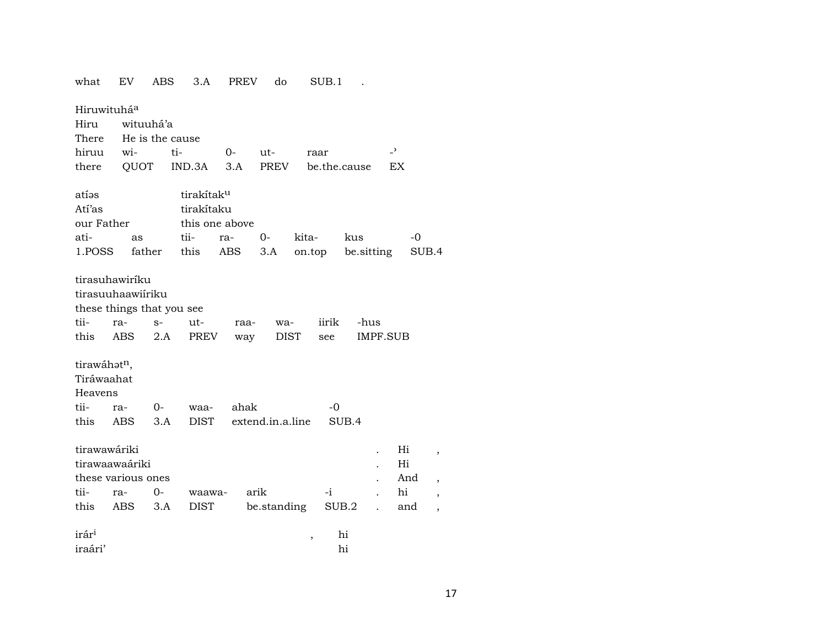| what               | EV.        | <b>ABS</b>                | 3.A                    | PREV | do               |             | SUB.1 |              |                          |     |                |
|--------------------|------------|---------------------------|------------------------|------|------------------|-------------|-------|--------------|--------------------------|-----|----------------|
| Hiruwituháa        |            |                           |                        |      |                  |             |       |              |                          |     |                |
| Hiru               |            | wituuhá'a                 |                        |      |                  |             |       |              |                          |     |                |
| There              |            | He is the cause           |                        |      |                  |             |       |              |                          |     |                |
| hiruu              | wi-        | ti-                       |                        | $0-$ | ut-              | raar        |       |              | $\overline{\phantom{0}}$ |     |                |
| there              |            | QUOT                      | IND.3A                 | 3.A  | PREV             |             |       | be.the.cause | EX                       |     |                |
| atías              |            |                           | tirakítak <sup>u</sup> |      |                  |             |       |              |                          |     |                |
| Atí'as             |            |                           | tirakítaku             |      |                  |             |       |              |                          |     |                |
| our Father         |            |                           | this one above         |      |                  |             |       |              |                          |     |                |
| ati-               | as         |                           | tii-                   | ra-  | $0-$             | kita-       |       | kus          |                          | -0  |                |
| 1.POSS             |            | father                    | this                   | ABS  | 3.A              | on.top      |       | be.sitting   |                          |     | SUB.4          |
| tirasuhawiríku     |            |                           |                        |      |                  |             |       |              |                          |     |                |
| tirasuuhaawiíriku  |            |                           |                        |      |                  |             |       |              |                          |     |                |
|                    |            | these things that you see |                        |      |                  |             |       |              |                          |     |                |
| tii-               | ra-        | $S-$                      | ut-                    | raa- | wa-              |             | iirik | -hus         |                          |     |                |
| this               | <b>ABS</b> | 2.A                       | PREV                   | way  |                  | <b>DIST</b> | see   |              | <b>IMPF.SUB</b>          |     |                |
| tirawáhatn,        |            |                           |                        |      |                  |             |       |              |                          |     |                |
| Tiráwaahat         |            |                           |                        |      |                  |             |       |              |                          |     |                |
| Heavens            |            |                           |                        |      |                  |             |       |              |                          |     |                |
| tii-               | ra-        | 0-                        | waa-                   | ahak |                  |             | -0    |              |                          |     |                |
| this               | ABS.       | 3.A                       | <b>DIST</b>            |      | extend.in.a.line |             |       | SUB.4        |                          |     |                |
| tirawawáriki       |            |                           |                        |      |                  |             |       |              |                          | Hi  | $\,$           |
| tirawaawaáriki     |            |                           |                        |      |                  |             |       |              |                          | Hi  |                |
| these various ones |            |                           |                        |      |                  |             |       |              |                          | And | $\overline{ }$ |
| tii-               | ra-        | 0-                        | waawa-                 | arik |                  |             | -i    |              |                          | hi  | $^\mathrm{o}$  |
| this               | ABS        | 3.A                       | <b>DIST</b>            |      | be.standing      |             | SUB.2 |              |                          | and |                |
| irár <sup>i</sup>  |            |                           |                        |      |                  | $\, ,$      |       | hi           |                          |     |                |
| iraári'            |            |                           |                        |      |                  |             |       | hi           |                          |     |                |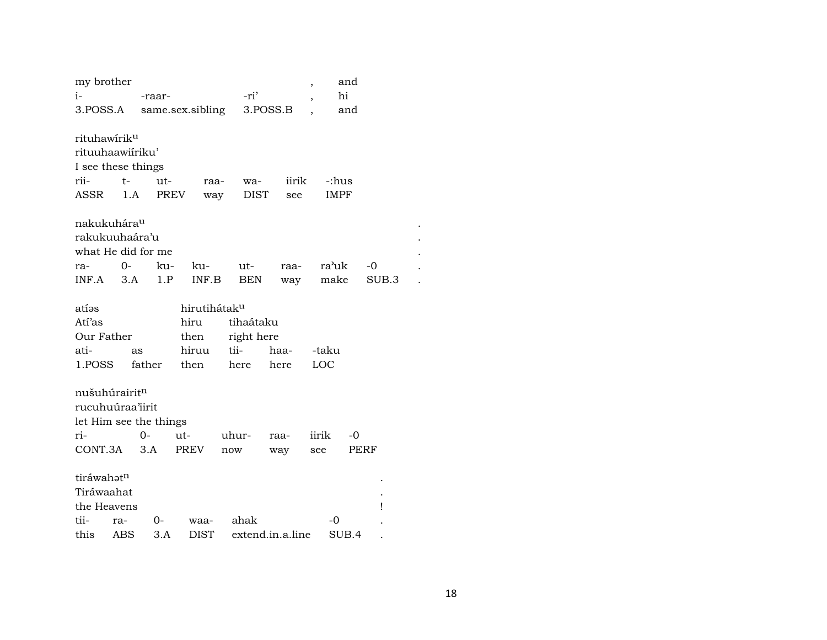| my brother<br>$i-$        |                          | -raar-                 |                  |       | -ri'        |                  | ,                        | and<br>hi |       |  |  |  |
|---------------------------|--------------------------|------------------------|------------------|-------|-------------|------------------|--------------------------|-----------|-------|--|--|--|
|                           |                          |                        |                  |       |             |                  | $\overline{\phantom{a}}$ |           |       |  |  |  |
| 3.POSS.A                  |                          |                        | same.sex.sibling |       | 3.POSS.B    |                  |                          | and       |       |  |  |  |
| rituhawírik <sup>u</sup>  |                          |                        |                  |       |             |                  |                          |           |       |  |  |  |
| rituuhaawiíriku'          |                          |                        |                  |       |             |                  |                          |           |       |  |  |  |
| I see these things        |                          |                        |                  |       |             |                  |                          |           |       |  |  |  |
| rii-                      | $t-$                     | ut-                    | raa-             |       | wa-         | iirik            | -:hus                    |           |       |  |  |  |
| ASSR                      | 1.A                      | <b>PREV</b>            | way              |       | <b>DIST</b> | see              | <b>IMPF</b>              |           |       |  |  |  |
|                           |                          |                        |                  |       |             |                  |                          |           |       |  |  |  |
| nakukuhára <sup>u</sup>   |                          |                        |                  |       |             |                  |                          |           |       |  |  |  |
|                           | rakukuuhaára'u           |                        |                  |       |             |                  |                          |           |       |  |  |  |
|                           |                          | what He did for me     |                  |       |             |                  |                          |           |       |  |  |  |
| ra-                       | $O -$                    | ku-                    | ku-              |       | ut-         | raa-             | ra'uk                    |           | -0    |  |  |  |
| INF.A                     | 3.A                      | 1.P                    | INF.B            |       | <b>BEN</b>  | way              | make                     |           | SUB.3 |  |  |  |
|                           |                          |                        |                  |       |             |                  |                          |           |       |  |  |  |
| atíəs                     | hirutihátak <sup>u</sup> |                        |                  |       |             |                  |                          |           |       |  |  |  |
| Atí'as                    |                          |                        | hiru             |       | tihaátaku   |                  |                          |           |       |  |  |  |
| Our Father                |                          |                        | then             |       | right here  |                  |                          |           |       |  |  |  |
| ati-                      |                          | as                     | hiruu            | tii-  |             | haa-             | -taku                    |           |       |  |  |  |
| 1.POSS                    |                          | father                 | then             | here  |             | here             | LOC                      |           |       |  |  |  |
|                           |                          |                        |                  |       |             |                  |                          |           |       |  |  |  |
| nušuhúrairit <sup>n</sup> |                          |                        |                  |       |             |                  |                          |           |       |  |  |  |
| rucuhuúraa'iirit          |                          |                        |                  |       |             |                  |                          |           |       |  |  |  |
|                           |                          | let Him see the things |                  |       |             |                  |                          |           |       |  |  |  |
| ri-                       |                          | $O -$                  | ut-              | uhur- |             | raa-             | iirik                    | $-0$      |       |  |  |  |
| CONT.3A                   |                          | 3.A                    | <b>PREV</b>      | now   |             | way              | see                      | PERF      |       |  |  |  |
|                           |                          |                        |                  |       |             |                  |                          |           |       |  |  |  |
|                           | tiráwahatn               |                        |                  |       |             |                  |                          |           |       |  |  |  |
| Tiráwaahat                |                          |                        |                  |       |             |                  |                          |           |       |  |  |  |
| the Heavens<br>Ţ          |                          |                        |                  |       |             |                  |                          |           |       |  |  |  |
| tii-                      | ra-                      | 0-                     | waa-             |       | ahak        |                  | -0                       |           |       |  |  |  |
| this                      | ABS                      | 3.A                    | <b>DIST</b>      |       |             | extend.in.a.line |                          | SUB.4     |       |  |  |  |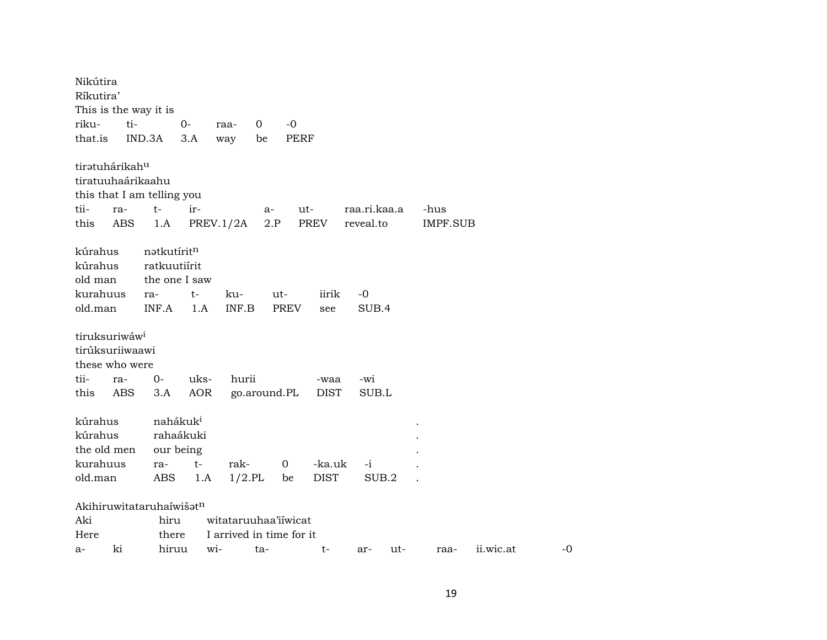Nikútira Ríkutira' This is the way it is riku- ti- 0- raa- 0 -0 that.is IND.3A 3.A way be PERF tiratuhárikah<sup>u</sup> tiratuuhaárikaahu this that I am telling you tii- ra- t- ir- a- ut- raa.ri.kaa.a -hus this ABS 1.A PREV.1/2A 2.P PREV reveal.to IMPF.SUB kúrahus nətkutírit<sup>n</sup> kúrahus ratkuutiírit old man the one I saw kurahuus ra- t- ku- ut- iirik -0 old.man INF.A 1.A INF.B PREV see SUB.4 tiruksuriwáw<sup>i</sup> tirúksuriiwaawi these who were tii- ra- 0- uks- hurii -waa -wi this ABS 3.A AOR go.around.PL DIST SUB.L kúrahus nahákuk<sup>i</sup> kúrahus rahaákuki . the old men our being kurahuus ra- t- rak- 0 -ka.uk -i . old.man ABS 1.A 1/2.PL be DIST SUB.2 .  $A$ kihiruwitataruhaíwiš $\mathfrak{h}^n$ Aki hiru witataruuhaa'iíwicat Here there I arrived in time for it a- ki hiruu wi- ta- t- ar- ut- raa- ii.wic.at -0